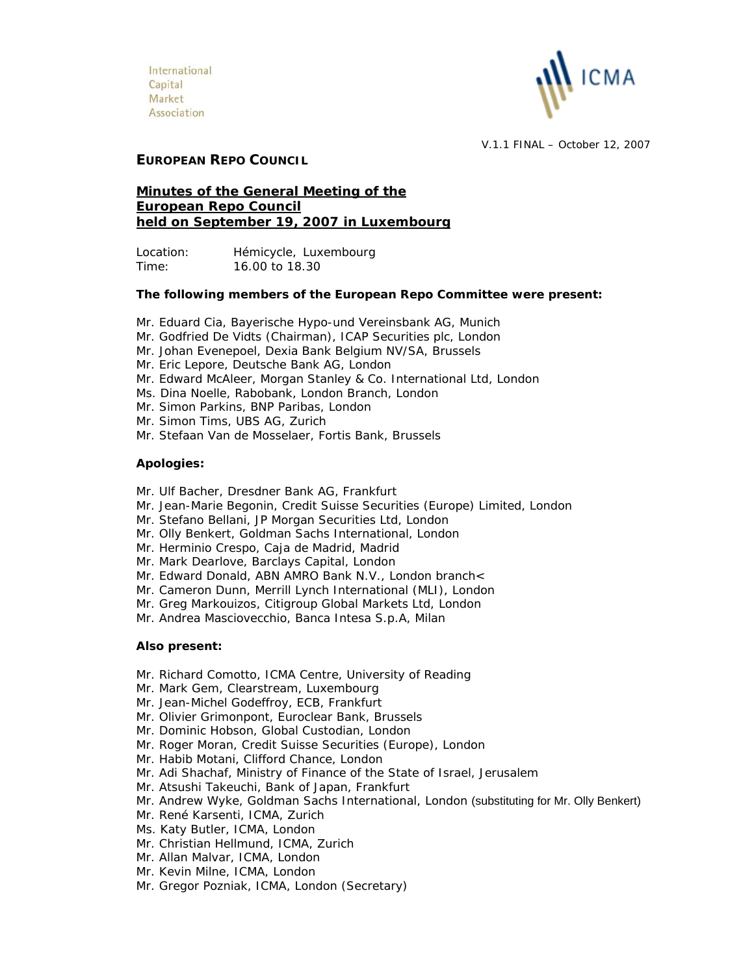

V.1.1 FINAL – October 12, 2007

## **EUROPEAN REPO COUNCIL**

# **Minutes of the General Meeting of the European Repo Council held on September 19, 2007 in Luxembourg**

Location: Hémicycle, Luxembourg Time: 16.00 to 18.30

### **The following members of the European Repo Committee were present:**

- Mr. Eduard Cia, Bayerische Hypo-und Vereinsbank AG, Munich
- Mr. Godfried De Vidts (Chairman), ICAP Securities plc, London
- Mr. Johan Evenepoel, Dexia Bank Belgium NV/SA, Brussels
- Mr. Eric Lepore, Deutsche Bank AG, London
- Mr. Edward McAleer, Morgan Stanley & Co. International Ltd, London
- Ms. Dina Noelle, Rabobank, London Branch, London
- Mr. Simon Parkins, BNP Paribas, London
- Mr. Simon Tims, UBS AG, Zurich
- Mr. Stefaan Van de Mosselaer, Fortis Bank, Brussels

## **Apologies:**

- Mr. Ulf Bacher, Dresdner Bank AG, Frankfurt
- Mr. Jean-Marie Begonin, Credit Suisse Securities (Europe) Limited, London
- Mr. Stefano Bellani, JP Morgan Securities Ltd, London
- Mr. Olly Benkert, Goldman Sachs International, London
- Mr. Herminio Crespo, Caja de Madrid, Madrid
- Mr. Mark Dearlove, Barclays Capital, London
- Mr. Edward Donald, ABN AMRO Bank N.V., London branch<
- Mr. Cameron Dunn, Merrill Lynch International (MLI), London
- Mr. Greg Markouizos, Citigroup Global Markets Ltd, London
- Mr. Andrea Masciovecchio, Banca Intesa S.p.A, Milan

## **Also present:**

- Mr. Richard Comotto, ICMA Centre, University of Reading
- Mr. Mark Gem, Clearstream, Luxembourg
- Mr. Jean-Michel Godeffroy, ECB, Frankfurt
- Mr. Olivier Grimonpont, Euroclear Bank, Brussels
- Mr. Dominic Hobson, Global Custodian, London
- Mr. Roger Moran, Credit Suisse Securities (Europe), London
- Mr. Habib Motani, Clifford Chance, London
- Mr. Adi Shachaf, Ministry of Finance of the State of Israel, Jerusalem
- Mr. Atsushi Takeuchi, Bank of Japan, Frankfurt
- Mr. Andrew Wyke, Goldman Sachs International, London (substituting for Mr. Olly Benkert)
- Mr. René Karsenti, ICMA, Zurich
- Ms. Katy Butler, ICMA, London
- Mr. Christian Hellmund, ICMA, Zurich
- Mr. Allan Malvar, ICMA, London
- Mr. Kevin Milne, ICMA, London
- Mr. Gregor Pozniak, ICMA, London (Secretary)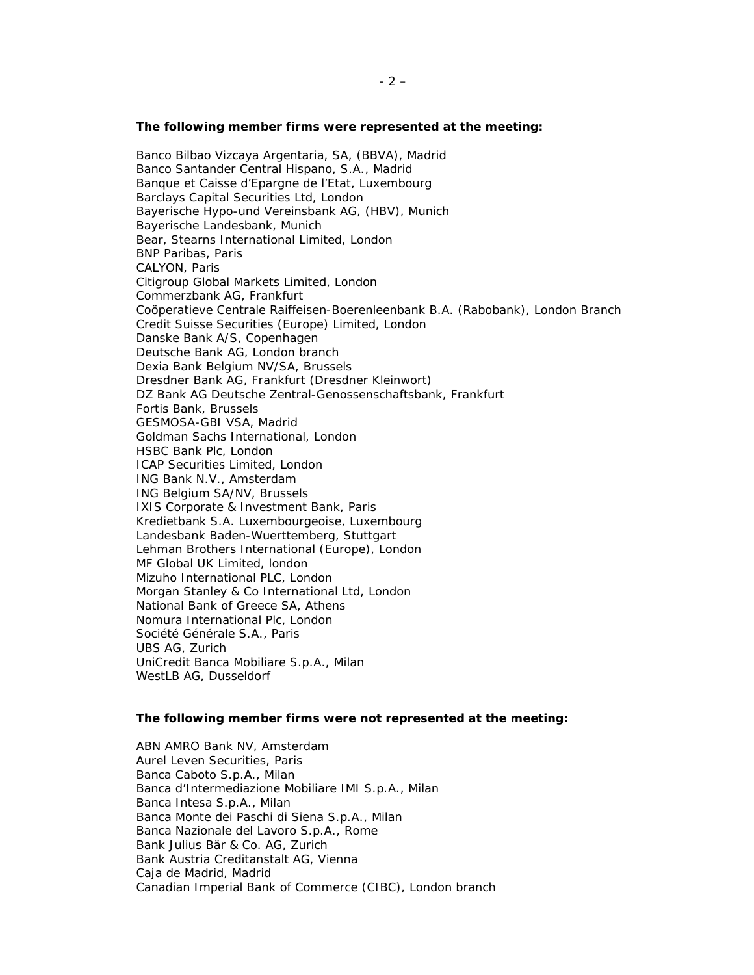#### **The following member firms were represented at the meeting:**

Banco Bilbao Vizcaya Argentaria, SA, (BBVA), Madrid Banco Santander Central Hispano, S.A., Madrid Banque et Caisse d'Epargne de l'Etat, Luxembourg Barclays Capital Securities Ltd, London Bayerische Hypo-und Vereinsbank AG, (HBV), Munich Bayerische Landesbank, Munich Bear, Stearns International Limited, London BNP Paribas, Paris CALYON, Paris Citigroup Global Markets Limited, London Commerzbank AG, Frankfurt Coöperatieve Centrale Raiffeisen-Boerenleenbank B.A. (Rabobank), London Branch Credit Suisse Securities (Europe) Limited, London Danske Bank A/S, Copenhagen Deutsche Bank AG, London branch Dexia Bank Belgium NV/SA, Brussels Dresdner Bank AG, Frankfurt (Dresdner Kleinwort) DZ Bank AG Deutsche Zentral-Genossenschaftsbank, Frankfurt Fortis Bank, Brussels GESMOSA-GBI VSA, Madrid Goldman Sachs International, London HSBC Bank Plc, London ICAP Securities Limited, London ING Bank N.V., Amsterdam ING Belgium SA/NV, Brussels IXIS Corporate & Investment Bank, Paris Kredietbank S.A. Luxembourgeoise, Luxembourg Landesbank Baden-Wuerttemberg, Stuttgart Lehman Brothers International (Europe), London MF Global UK Limited, london Mizuho International PLC, London Morgan Stanley & Co International Ltd, London National Bank of Greece SA, Athens Nomura International Plc, London Société Générale S.A., Paris UBS AG, Zurich UniCredit Banca Mobiliare S.p.A., Milan WestLB AG, Dusseldorf

#### **The following member firms were not represented at the meeting:**

ABN AMRO Bank NV, Amsterdam Aurel Leven Securities, Paris Banca Caboto S.p.A., Milan Banca d'Intermediazione Mobiliare IMI S.p.A., Milan Banca Intesa S.p.A., Milan Banca Monte dei Paschi di Siena S.p.A., Milan Banca Nazionale del Lavoro S.p.A., Rome Bank Julius Bär & Co. AG, Zurich Bank Austria Creditanstalt AG, Vienna Caja de Madrid, Madrid Canadian Imperial Bank of Commerce (CIBC), London branch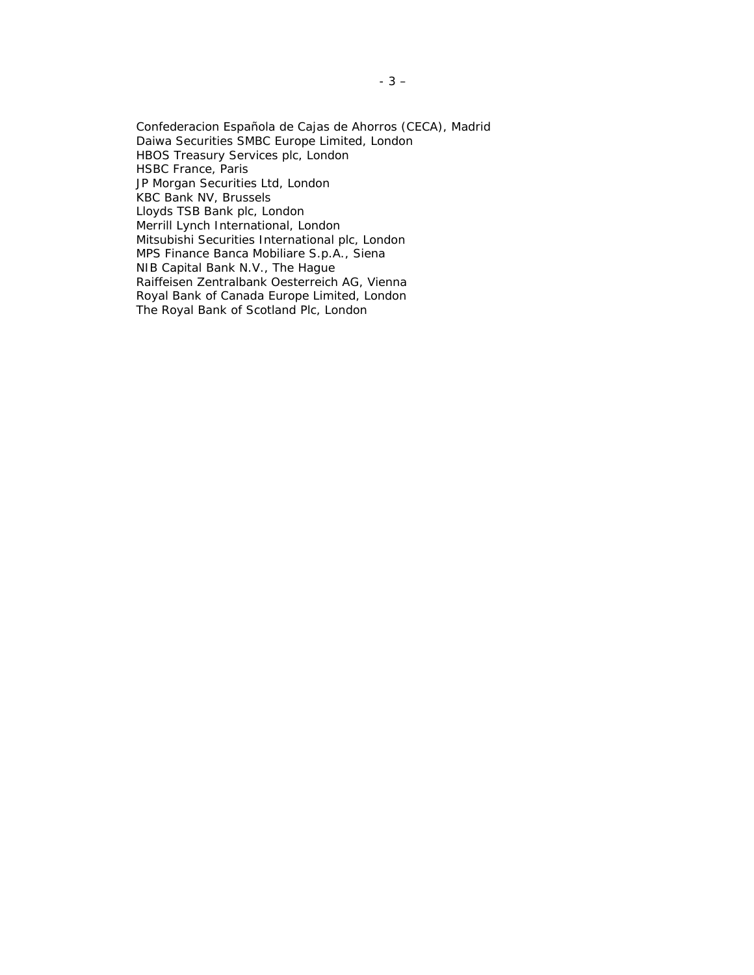Confederacion Española de Cajas de Ahorros (CECA), Madrid Daiwa Securities SMBC Europe Limited, London HBOS Treasury Services plc, London HSBC France, Paris JP Morgan Securities Ltd, London KBC Bank NV, Brussels Lloyds TSB Bank plc, London Merrill Lynch International, London Mitsubishi Securities International plc, London MPS Finance Banca Mobiliare S.p.A., Siena NIB Capital Bank N.V., The Hague Raiffeisen Zentralbank Oesterreich AG, Vienna Royal Bank of Canada Europe Limited, London The Royal Bank of Scotland Plc, London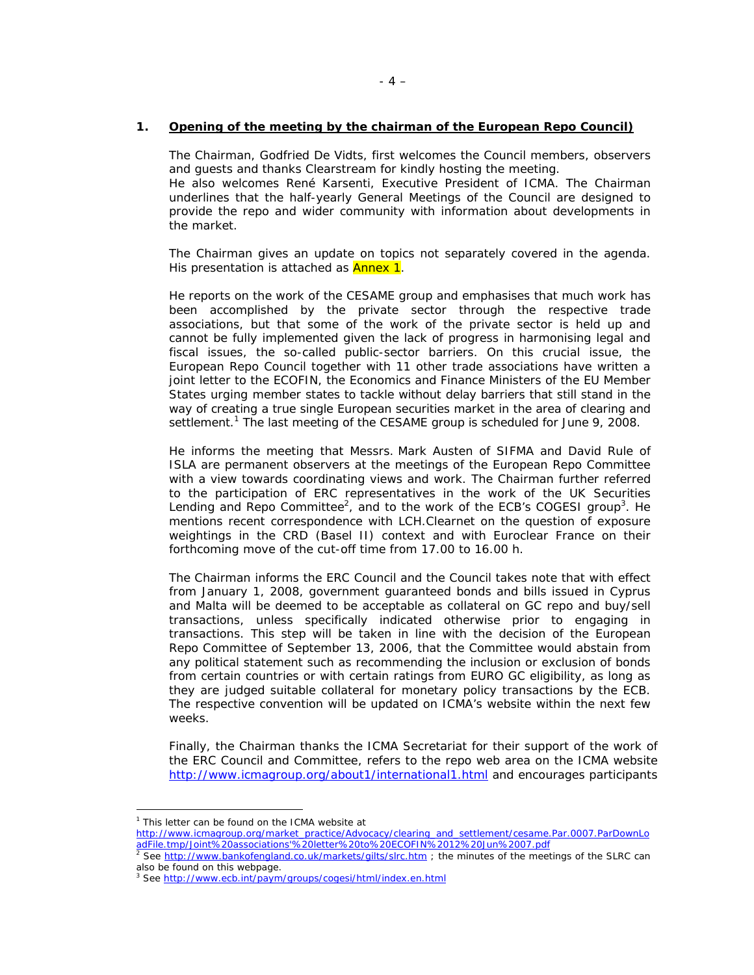### **1. Opening of the meeting by the chairman of the European Repo Council)**

The Chairman, Godfried De Vidts, first welcomes the Council members, observers and guests and thanks Clearstream for kindly hosting the meeting. He also welcomes René Karsenti, Executive President of ICMA. The Chairman underlines that the half-yearly General Meetings of the Council are designed to provide the repo and wider community with information about developments in the market.

The Chairman gives an update on topics not separately covered in the agenda. His presentation is attached as **Annex 1**.

He reports on the work of the CESAME group and emphasises that much work has been accomplished by the private sector through the respective trade associations, but that some of the work of the private sector is held up and cannot be fully implemented given the lack of progress in harmonising legal and fiscal issues, the so-called public-sector barriers. On this crucial issue, the European Repo Council together with 11 other trade associations have written a joint letter to the ECOFIN, the Economics and Finance Ministers of the EU Member States urging member states to tackle without delay barriers that still stand in the way of creating a true single European securities market in the area of clearing and settlement.<sup>1</sup> The last meeting of the CESAME group is scheduled for June 9, 2008.

He informs the meeting that Messrs. Mark Austen of SIFMA and David Rule of ISLA are permanent observers at the meetings of the European Repo Committee with a view towards coordinating views and work. The Chairman further referred to the participation of ERC representatives in the work of the UK Securities Lending and Repo Committee<sup>2</sup>, and to the work of the ECB's COGESI group<sup>3</sup>. He mentions recent correspondence with LCH.Clearnet on the question of exposure weightings in the CRD (Basel II) context and with Euroclear France on their forthcoming move of the cut-off time from 17.00 to 16.00 h.

The Chairman informs the ERC Council and the Council takes note that with effect from January 1, 2008, government guaranteed bonds and bills issued in Cyprus and Malta will be deemed to be acceptable as collateral on GC repo and buy/sell transactions, unless specifically indicated otherwise prior to engaging in transactions. This step will be taken in line with the decision of the European Repo Committee of September 13, 2006, that the Committee would abstain from any political statement such as recommending the inclusion or exclusion of bonds from certain countries or with certain ratings from EURO GC eligibility, as long as they are judged suitable collateral for monetary policy transactions by the ECB. The respective convention will be updated on ICMA's website within the next few weeks.

Finally, the Chairman thanks the ICMA Secretariat for their support of the work of the ERC Council and Committee, refers to the repo web area on the ICMA website http://www.icmagroup.org/about1/international1.html and encourages participants

 $\overline{a}$ 

<sup>&</sup>lt;sup>1</sup> This letter can be found on the ICMA website at

http://www.icmagroup.org/market\_practice/Advocacy/clearing\_and\_settlement/cesame.Par.0007.ParDownLo adFile.tmp/Joint%20associations'%20letter%20to%20ECOFIN%2012%20Jun%2007.pdf<br><sup>2</sup> See http://www.bankofengland.co.uk/markets/gilts/slrc.htm ; the minutes of the meetings of the SLRC can

also be found on this webpage.

<sup>&</sup>lt;sup>3</sup> See http://www.ecb.int/paym/groups/cogesi/html/index.en.html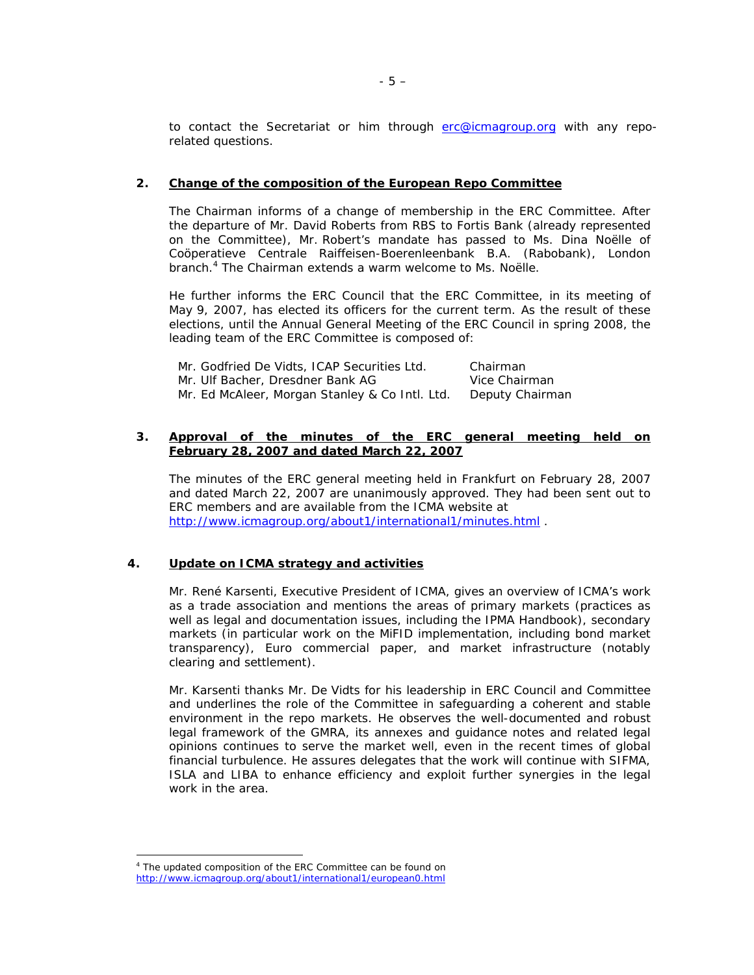to contact the Secretariat or him through erc@icmagroup.org with any reporelated questions.

### **2. Change of the composition of the European Repo Committee**

The Chairman informs of a change of membership in the ERC Committee. After the departure of Mr. David Roberts from RBS to Fortis Bank (already represented on the Committee), Mr. Robert's mandate has passed to Ms. Dina Noëlle of Coöperatieve Centrale Raiffeisen-Boerenleenbank B.A. (Rabobank), London branch.<sup>4</sup> The Chairman extends a warm welcome to Ms. Noëlle.

He further informs the ERC Council that the ERC Committee, in its meeting of May 9, 2007, has elected its officers for the current term. As the result of these elections, until the Annual General Meeting of the ERC Council in spring 2008, the leading team of the ERC Committee is composed of:

| Mr. Godfried De Vidts, ICAP Securities Ltd.    | Chairman        |
|------------------------------------------------|-----------------|
| Mr. Ulf Bacher, Dresdner Bank AG               | Vice Chairman   |
| Mr. Ed McAleer, Morgan Stanley & Co Intl. Ltd. | Deputy Chairman |

### **3. Approval of the minutes of the ERC general meeting held on February 28, 2007 and dated March 22, 2007**

The minutes of the ERC general meeting held in Frankfurt on February 28, 2007 and dated March 22, 2007 are unanimously approved. They had been sent out to ERC members and are available from the ICMA website at http://www.icmagroup.org/about1/international1/minutes.html .

## **4. Update on ICMA strategy and activities**

Mr. René Karsenti, Executive President of ICMA, gives an overview of ICMA's work as a trade association and mentions the areas of primary markets (practices as well as legal and documentation issues, including the IPMA Handbook), secondary markets (in particular work on the MiFID implementation, including bond market transparency), Euro commercial paper, and market infrastructure (notably clearing and settlement).

Mr. Karsenti thanks Mr. De Vidts for his leadership in ERC Council and Committee and underlines the role of the Committee in safeguarding a coherent and stable environment in the repo markets. He observes the well-documented and robust legal framework of the GMRA, its annexes and guidance notes and related legal opinions continues to serve the market well, even in the recent times of global financial turbulence. He assures delegates that the work will continue with SIFMA, ISLA and LIBA to enhance efficiency and exploit further synergies in the legal work in the area.

 $\overline{a}$ 

<sup>&</sup>lt;sup>4</sup> The updated composition of the ERC Committee can be found on http://www.icmagroup.org/about1/international1/european0.html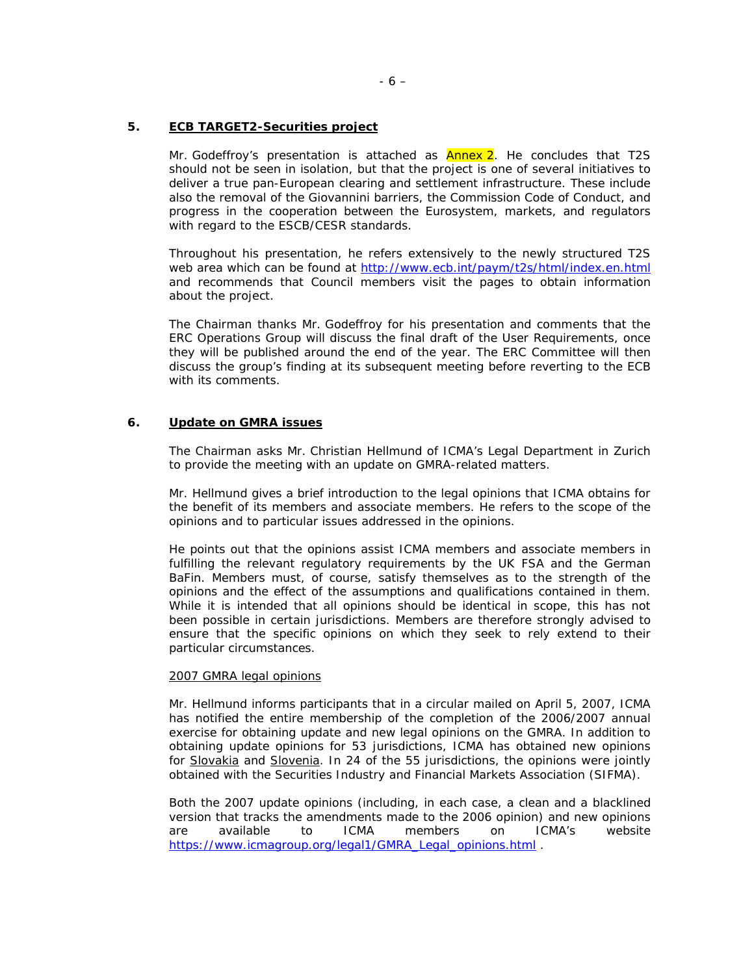## **5. ECB TARGET2-Securities project**

Mr. Godeffroy's presentation is attached as **Annex 2**. He concludes that T2S should not be seen in isolation, but that the project is one of several initiatives to deliver a true pan-European clearing and settlement infrastructure. These include also the removal of the Giovannini barriers, the Commission Code of Conduct, and progress in the cooperation between the Eurosystem, markets, and regulators with regard to the ESCB/CESR standards.

Throughout his presentation, he refers extensively to the newly structured T2S web area which can be found at http://www.ecb.int/paym/t2s/html/index.en.html and recommends that Council members visit the pages to obtain information about the project.

The Chairman thanks Mr. Godeffroy for his presentation and comments that the ERC Operations Group will discuss the final draft of the User Requirements, once they will be published around the end of the year. The ERC Committee will then discuss the group's finding at its subsequent meeting before reverting to the ECB with its comments.

## **6. Update on GMRA issues**

The Chairman asks Mr. Christian Hellmund of ICMA's Legal Department in Zurich to provide the meeting with an update on GMRA-related matters.

Mr. Hellmund gives a brief introduction to the legal opinions that ICMA obtains for the benefit of its members and associate members. He refers to the scope of the opinions and to particular issues addressed in the opinions.

He points out that the opinions assist ICMA members and associate members in fulfilling the relevant regulatory requirements by the UK FSA and the German BaFin. Members must, of course, satisfy themselves as to the strength of the opinions and the effect of the assumptions and qualifications contained in them. While it is intended that all opinions should be identical in scope, this has not been possible in certain jurisdictions. Members are therefore strongly advised to ensure that the specific opinions on which they seek to rely extend to their particular circumstances.

### 2007 GMRA legal opinions

Mr. Hellmund informs participants that in a circular mailed on April 5, 2007, ICMA has notified the entire membership of the completion of the 2006/2007 annual exercise for obtaining update and new legal opinions on the GMRA. In addition to obtaining update opinions for 53 jurisdictions, ICMA has obtained new opinions for Slovakia and Slovenia. In 24 of the 55 jurisdictions, the opinions were jointly obtained with the Securities Industry and Financial Markets Association (SIFMA).

Both the 2007 update opinions (including, in each case, a clean and a blacklined version that tracks the amendments made to the 2006 opinion) and new opinions are available to ICMA members on ICMA's website https://www.icmagroup.org/legal1/GMRA\_Legal\_opinions.html .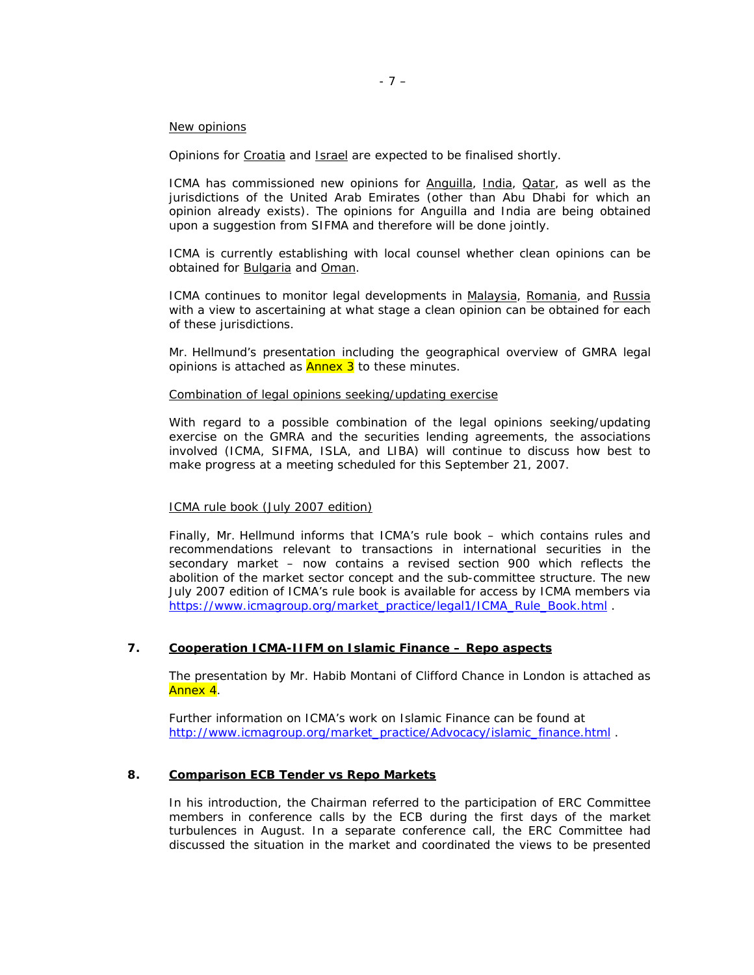#### New opinions

Opinions for Croatia and Israel are expected to be finalised shortly.

ICMA has commissioned new opinions for Anguilla, India, Oatar, as well as the jurisdictions of the United Arab Emirates (other than Abu Dhabi for which an opinion already exists). The opinions for Anguilla and India are being obtained upon a suggestion from SIFMA and therefore will be done jointly.

ICMA is currently establishing with local counsel whether clean opinions can be obtained for Bulgaria and Oman.

ICMA continues to monitor legal developments in Malaysia, Romania, and Russia with a view to ascertaining at what stage a clean opinion can be obtained for each of these jurisdictions.

Mr. Hellmund's presentation including the geographical overview of GMRA legal opinions is attached as **Annex 3** to these minutes.

#### Combination of legal opinions seeking/updating exercise

With regard to a possible combination of the legal opinions seeking/updating exercise on the GMRA and the securities lending agreements, the associations involved (ICMA, SIFMA, ISLA, and LIBA) will continue to discuss how best to make progress at a meeting scheduled for this September 21, 2007.

### ICMA rule book (July 2007 edition)

Finally, Mr. Hellmund informs that ICMA's rule book – which contains rules and recommendations relevant to transactions in international securities in the secondary market – now contains a revised section 900 which reflects the abolition of the market sector concept and the sub-committee structure. The new July 2007 edition of ICMA's rule book is available for access by ICMA members via https://www.icmagroup.org/market\_practice/legal1/ICMA\_Rule\_Book.html .

#### **7. Cooperation ICMA-IIFM on Islamic Finance – Repo aspects**

The presentation by Mr. Habib Montani of Clifford Chance in London is attached as Annex 4.

Further information on ICMA's work on Islamic Finance can be found at http://www.icmagroup.org/market\_practice/Advocacy/islamic\_finance.html .

## **8. Comparison ECB Tender vs Repo Markets**

In his introduction, the Chairman referred to the participation of ERC Committee members in conference calls by the ECB during the first days of the market turbulences in August. In a separate conference call, the ERC Committee had discussed the situation in the market and coordinated the views to be presented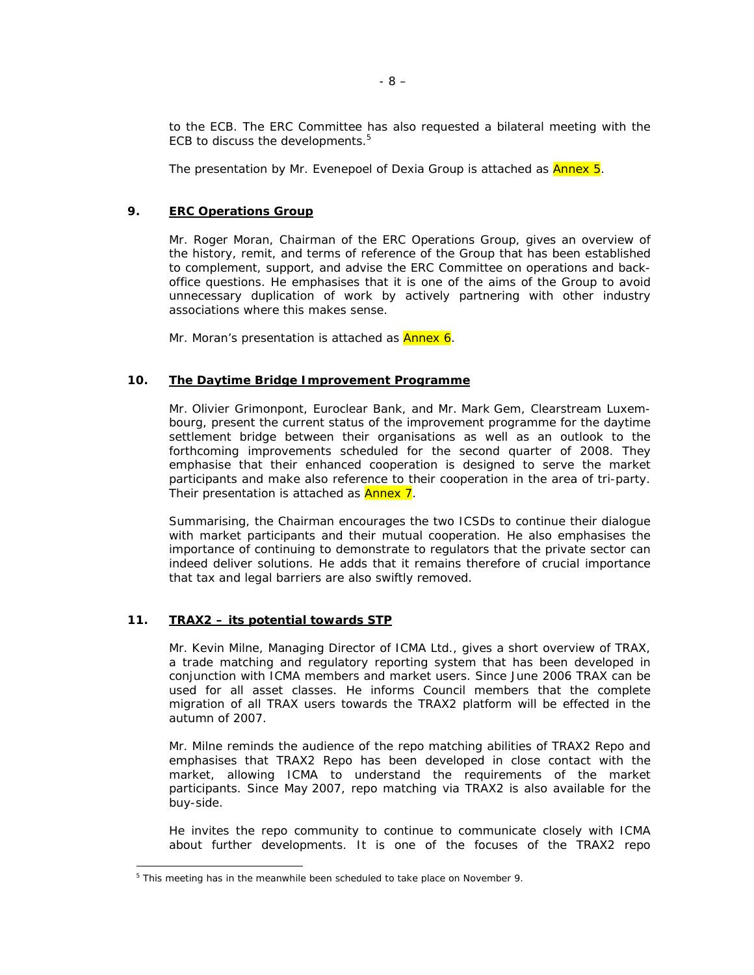to the ECB. The ERC Committee has also requested a bilateral meeting with the ECB to discuss the developments.<sup>5</sup>

The presentation by Mr. Evenepoel of Dexia Group is attached as **Annex 5**.

## **9. ERC Operations Group**

Mr. Roger Moran, Chairman of the ERC Operations Group, gives an overview of the history, remit, and terms of reference of the Group that has been established to complement, support, and advise the ERC Committee on operations and backoffice questions. He emphasises that it is one of the aims of the Group to avoid unnecessary duplication of work by actively partnering with other industry associations where this makes sense.

Mr. Moran's presentation is attached as **Annex 6**.

#### **10. The Daytime Bridge Improvement Programme**

Mr. Olivier Grimonpont, Euroclear Bank, and Mr. Mark Gem, Clearstream Luxembourg, present the current status of the improvement programme for the daytime settlement bridge between their organisations as well as an outlook to the forthcoming improvements scheduled for the second quarter of 2008. They emphasise that their enhanced cooperation is designed to serve the market participants and make also reference to their cooperation in the area of tri-party. Their presentation is attached as **Annex 7**.

Summarising, the Chairman encourages the two ICSDs to continue their dialogue with market participants and their mutual cooperation. He also emphasises the importance of continuing to demonstrate to regulators that the private sector can indeed deliver solutions. He adds that it remains therefore of crucial importance that tax and legal barriers are also swiftly removed.

#### **11. TRAX2 – its potential towards STP**

Mr. Kevin Milne, Managing Director of ICMA Ltd., gives a short overview of TRAX, a trade matching and regulatory reporting system that has been developed in conjunction with ICMA members and market users. Since June 2006 TRAX can be used for all asset classes. He informs Council members that the complete migration of all TRAX users towards the TRAX2 platform will be effected in the autumn of 2007.

Mr. Milne reminds the audience of the repo matching abilities of TRAX2 Repo and emphasises that TRAX2 Repo has been developed in close contact with the market, allowing ICMA to understand the requirements of the market participants. Since May 2007, repo matching via TRAX2 is also available for the buy-side.

He invites the repo community to continue to communicate closely with ICMA about further developments. It is one of the focuses of the TRAX2 repo

<sup>&</sup>lt;sup>5</sup> This meeting has in the meanwhile been scheduled to take place on November 9.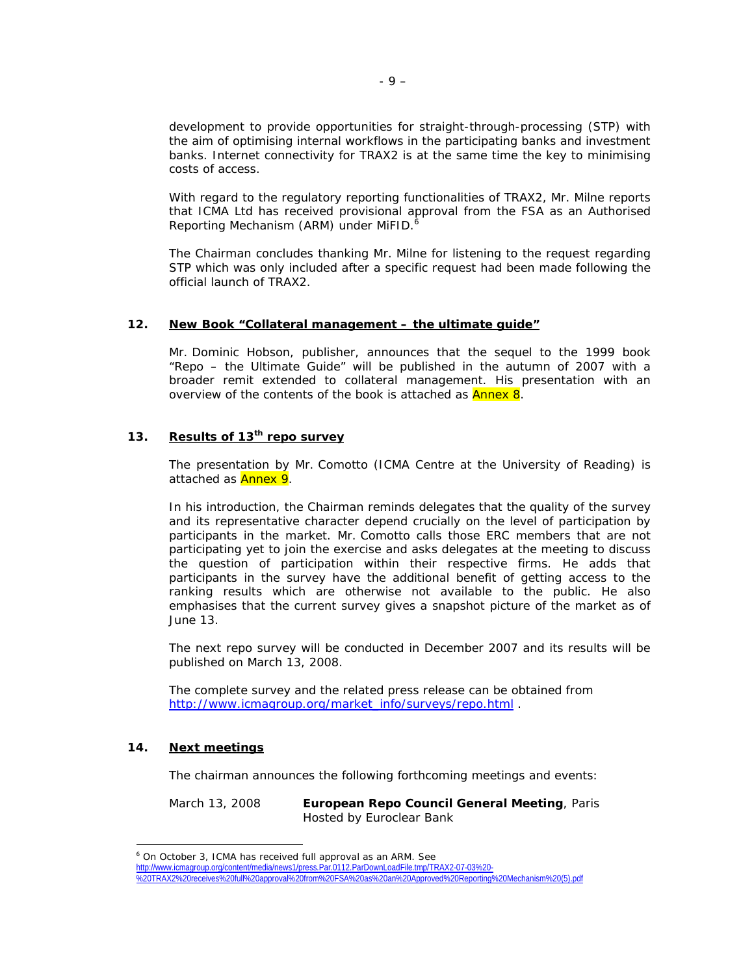development to provide opportunities for straight-through-processing (STP) with the aim of optimising internal workflows in the participating banks and investment banks. Internet connectivity for TRAX2 is at the same time the key to minimising costs of access.

With regard to the regulatory reporting functionalities of TRAX2, Mr. Milne reports that ICMA Ltd has received provisional approval from the FSA as an Authorised Reporting Mechanism (ARM) under MiFID. $<sup>6</sup>$ </sup>

The Chairman concludes thanking Mr. Milne for listening to the request regarding STP which was only included after a specific request had been made following the official launch of TRAX2.

### **12. New Book "Collateral management – the ultimate guide"**

Mr. Dominic Hobson, publisher, announces that the sequel to the 1999 book "Repo – the Ultimate Guide" will be published in the autumn of 2007 with a broader remit extended to collateral management. His presentation with an overview of the contents of the book is attached as **Annex 8**.

## **13. Results of 13th repo survey**

The presentation by Mr. Comotto (ICMA Centre at the University of Reading) is attached as **Annex 9**.

In his introduction, the Chairman reminds delegates that the quality of the survey and its representative character depend crucially on the level of participation by participants in the market. Mr. Comotto calls those ERC members that are not participating yet to join the exercise and asks delegates at the meeting to discuss the question of participation within their respective firms. He adds that participants in the survey have the additional benefit of getting access to the ranking results which are otherwise not available to the public. He also emphasises that the current survey gives a snapshot picture of the market as of June 13.

The next repo survey will be conducted in December 2007 and its results will be published on March 13, 2008.

The complete survey and the related press release can be obtained from http://www.icmagroup.org/market\_info/surveys/repo.html

## **14. Next meetings**

 $\overline{a}$ 

The chairman announces the following forthcoming meetings and events:

March 13, 2008 **European Repo Council General Meeting**, Paris Hosted by Euroclear Bank

http://www.icmagroup.org/content/media/news1/press.Par.0112.ParDownLoadFile.tmp/TRAX2-07-03%20- %20TRAX2%20receives%20full%20approval%20from%20FSA%20as%20an%20Approved%20Reporting%20Mechanism%20(5).pdf

<sup>&</sup>lt;sup>6</sup> On October 3, ICMA has received full approval as an ARM. See